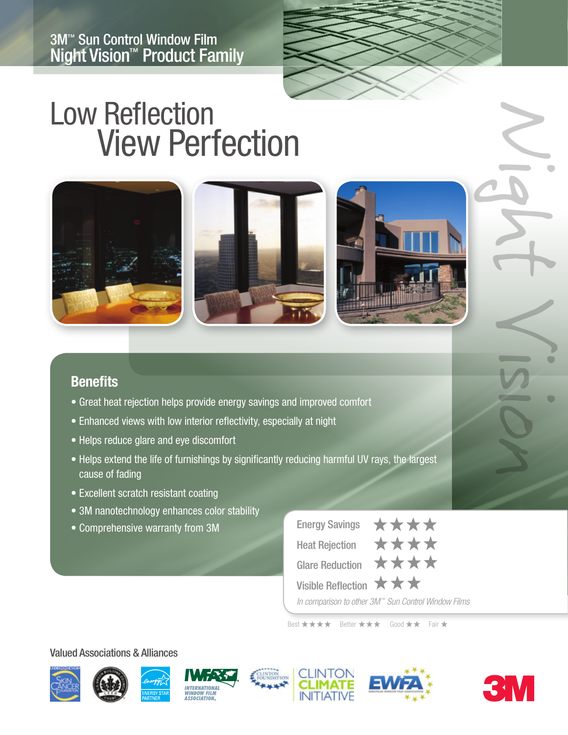3M™ Sun Control Window Film Night Vision™ Product Family



# Low Reflection View Perfection







### **Benefits**

- Great heat rejection helps provide energy savings and improved comfort
- Enhanced views with low interior reflectivity, especially at night
- Helps reduce glare and eye discomfort
- Helps extend the life of furnishings by significantly reducing harmful UV rays, the largest cause of fading
- Excellent scratch resistant coating
- 3M nanotechnology enhances color stability
- Comprehensive warranty from 3M

| <b>Energy Savings</b>                  | ****                                                |
|----------------------------------------|-----------------------------------------------------|
| <b>Heat Rejection</b>                  | ****                                                |
| <b>Glare Reduction</b>                 | ****                                                |
| Visible Reflection $\star \star \star$ |                                                     |
|                                        | In comparison to other 3M™ Sun Control Window Films |

Best  $\star \star \star \star$  Better  $\star \star \star$  Good  $\star \star$  Fair  $\star$ 

#### Valued Associations & Alliances